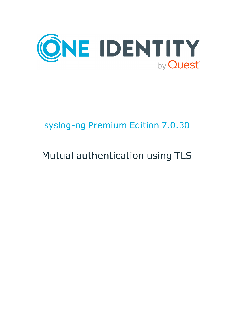

## syslog-ng Premium Edition 7.0.30

# Mutual authentication using TLS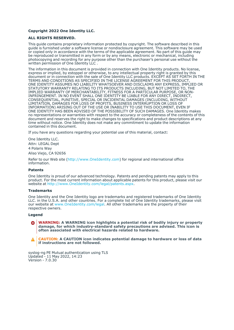#### **Copyright 2022 One Identity LLC.**

#### **ALL RIGHTS RESERVED.**

This guide contains proprietary information protected by copyright. The software described in this guide is furnished under a software license or nondisclosure agreement. This software may be used or copied only in accordance with the terms of the applicable agreement. No part of this guide may be reproduced or transmitted in any form or by any means, electronic or mechanical, including photocopying and recording for any purpose other than the purchaser's personal use without the written permission of One Identity LLC .

The information in this document is provided in connection with One Identity products. No license, express or implied, by estoppel or otherwise, to any intellectual property right is granted by this document or in connection with the sale of One Identity LLC products. EXCEPT AS SET FORTH IN THE TERMS AND CONDITIONS AS SPECIFIED IN THE LICENSE AGREEMENT FOR THIS PRODUCT, ONE IDENTITY ASSUMES NO LIABILITY WHATSOEVER AND DISCLAIMS ANY EXPRESS, IMPLIED OR STATUTORY WARRANTY RELATING TO ITS PRODUCTS INCLUDING, BUT NOT LIMITED TO, THE IMPLIED WARRANTY OF MERCHANTABILITY, FITNESS FOR A PARTICULAR PURPOSE, OR NON-INFRINGEMENT. IN NO EVENT SHALL ONE IDENTITY BE LIABLE FOR ANY DIRECT, INDIRECT, CONSEQUENTIAL, PUNITIVE, SPECIAL OR INCIDENTAL DAMAGES (INCLUDING, WITHOUT LIMITATION, DAMAGES FOR LOSS OF PROFITS, BUSINESS INTERRUPTION OR LOSS OF INFORMATION) ARISING OUT OF THE USE OR INABILITY TO USE THIS DOCUMENT, EVEN IF ONE IDENTITY HAS BEEN ADVISED OF THE POSSIBILITY OF SUCH DAMAGES. One Identity makes no representations or warranties with respect to the accuracy or completeness of the contents of this document and reserves the right to make changes to specifications and product descriptions at any time without notice. One Identity does not make any commitment to update the information contained in this document.

If you have any questions regarding your potential use of this material, contact:

One Identity LLC. Attn: LEGAL Dept 4 Polaris Way Aliso Viejo, CA 92656

Refer to our Web site [\(http://www.OneIdentity.com](http://www.oneidentity.com/)) for regional and international office information.

#### **Patents**

One Identity is proud of our advanced technology. Patents and pending patents may apply to this product. For the most current information about applicable patents for this product, please visit our website at [http://www.OneIdentity.com/legal/patents.aspx.](http://www.oneidentity.com/legal/patents.aspx)

#### **Trademarks**

One Identity and the One Identity logo are trademarks and registered trademarks of One Identity LLC. in the U.S.A. and other countries. For a complete list of One Identity trademarks, please visit our website at [www.OneIdentity.com/legal](http://www.oneidentity.com/legal). All other trademarks are the property of their respective owners.

#### **Legend**

**WARNING: A WARNING icon highlights a potential risk of bodily injury or property** œ **damage, for which industry-standard safety precautions are advised. This icon is often associated with electrical hazards related to hardware.**

**CAUTION: A CAUTION icon indicates potential damage to hardware or loss of data if instructions are not followed.**

syslog-ng PE Mutual authentication using TLS Updated - 11 May 2022, 14:23 Version - 7.0.30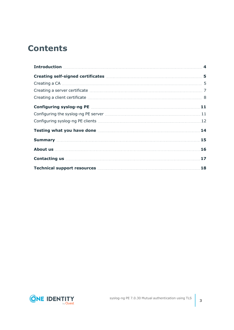## **Contents**

| Testing what you have done manufactured and the state of the 14 |    |
|-----------------------------------------------------------------|----|
|                                                                 |    |
|                                                                 | 16 |
|                                                                 | 17 |
| Technical support resources <b>manufactures</b> 18              |    |

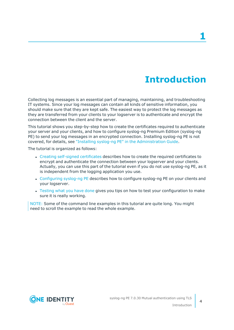## **Introduction**

<span id="page-3-0"></span>Collecting log messages is an essential part of managing, maintaining, and troubleshooting IT systems. Since your log messages can contain all kinds of sensitive information, you should make sure that they are kept safe. The easiest way to protect the log messages as they are transferred from your clients to your logserver is to authenticate and encrypt the connection between the client and the server.

This tutorial shows you step-by-step how to create the certificates required to authenticate your server and your clients, and how to configure syslog-ng Premium Edition (syslog-ng PE) to send your log messages in an encrypted connection. Installing syslog-ng PE is not covered, for details, see "Installing syslog-ng PE" in the [Administration](https://support.oneidentity.com/technical-documents/syslog-ng-premium-edition/7.0.30/administration-guide/) Guide.

The tutorial is organized as follows:

- <sup>l</sup> Creating self-signed [certificates](#page-4-0) describes how to create the required certificates to encrypt and authenticate the connection between your logserver and your clients. Actually, you can use this part of the tutorial even if you do not use syslog-ng PE, as it is independent from the logging application you use.
- [Configuring](#page-10-0) syslog-ng PE describes how to configure syslog-ng PE on your clients and your logserver.
- [Testing](#page-13-0) what you have done gives you tips on how to test your configuration to make sure it is really working.

NOTE: Some of the command line examples in this tutorial are quite long. You might need to scroll the example to read the whole example.



**4**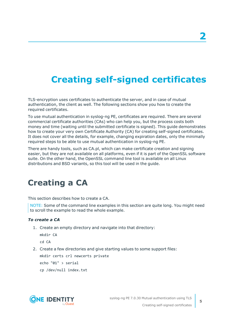## <span id="page-4-0"></span>**Creating self-signed certificates**

TLS-encryption uses certificates to authenticate the server, and in case of mutual authentication, the client as well. The following sections show you how to create the required certificates.

To use mutual authentication in syslog-ng PE, certificates are required. There are several commercial certificate authorities (CAs) who can help you, but the process costs both money and time (waiting until the submitted certificate is signed). This guide demonstrates how to create your very own Certificate Authority (CA) for creating self-signed certificates. It does not cover all the details, for example, changing expiration dates, only the minimally required steps to be able to use mutual authentication in syslog-ng PE.

There are handy tools, such as CA.pl, which can make certificate creation and signing easier, but they are not available on all platforms, even if it is part of the OpenSSL software suite. On the other hand, the OpenSSL command line tool is available on all Linux distributions and BSD variants, so this tool will be used in the guide.

### <span id="page-4-1"></span>**Creating a CA**

This section describes how to create a CA.

NOTE: Some of the command line examples in this section are quite long. You might need to scroll the example to read the whole example.

### *To create a CA*

1. Create an empty directory and navigate into that directory:

```
mkdir CA
```
cd CA

2. Create a few directories and give starting values to some support files:

mkdir certs crl newcerts private

echo "01" > serial

cp /dev/null index.txt

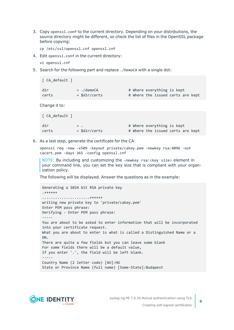3. Copy openssl.conf to the current directory. Depending on your distributions, the source directory might be different, so check the list of files in the OpenSSL package before copying:

cp /etc/ssl/openssl.cnf openssl.cnf

4. Edit openssl.conf in the current directory:

vi openssl.cnf

5. Search for the following part and replace ./DemoCA with a single dot:

```
[ CA_default ]
dir = ./demoCA # Where everything is kept
certs = $dir/certs # Where the issued certs are kept
```
Change it to:

```
[ CA default ]
dir = . \qquad \qquad # Where everything is kept
certs = $dir/certs # Where the issued certs are kept
```
6. As a last step, generate the certificate for the CA:

openssl req -new -x509 -keyout private/cakey.pem -newkey rsa:4096 -out cacert.pem -days 365 -config openssl.cnf

NOTE: By including and customizing the -newkey rsa:<key size> element in your command line, you can set the key size that is compliant with your organization policy.

The following will be displayed. Answer the questions as in the example:

```
Generating a 1024 bit RSA private key
.++++++
......................++++++
writing new private key to 'private/cakey.pem'
Enter PEM pass phrase:
Verifying - Enter PEM pass phrase:
-----
You are about to be asked to enter information that will be incorporated
into your certificate request.
What you are about to enter is what is called a Distinguished Name or a
DN.
There are quite a few fields but you can leave some blank
For some fields there will be a default value,
If you enter '.', the field will be left blank.
-----
Country Name (2 letter code) [AU]:HU
State or Province Name (full name) [Some-State]:Budapest
```
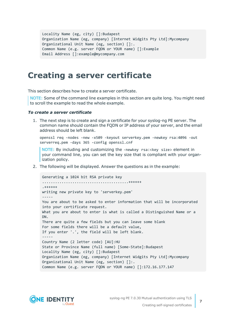```
Locality Name (eg, city) []:Budapest
Organization Name (eg, company) [Internet Widgits Pty Ltd]:Mycompany
Organizational Unit Name (eg, section) []:.
Common Name (e.g. server FQDN or YOUR name) []:Example
Email Address []:example@mycompany.com
```
### <span id="page-6-0"></span>**Creating a server certificate**

This section describes how to create a server certificate.

NOTE: Some of the command line examples in this section are quite long. You might need to scroll the example to read the whole example.

### *To create a server certificate*

1. The next step is to create and sign a certificate for your syslog-ng PE server. The common name should contain the FQDN or IP address of your server, and the email address should be left blank.

openssl req -nodes -new -x509 -keyout serverkey.pem -newkey rsa:4096 -out serverreq.pem -days 365 -config openssl.cnf

NOTE: By including and customizing the -newkey rsa:<key size> element in your command line, you can set the key size that is compliant with your organization policy.

2. The following will be displayed. Answer the questions as in the example:

```
Generating a 1024 bit RSA private key
........................................++++++
.++++++
writing new private key to 'serverkey.pem'
-----
You are about to be asked to enter information that will be incorporated
into your certificate request.
What you are about to enter is what is called a Distinguished Name or a
DN.
There are quite a few fields but you can leave some blank
For some fields there will be a default value,
If you enter '.', the field will be left blank.
-----
Country Name (2 letter code) [AU]:HU
State or Province Name (full name) [Some-State]:Budapest
Locality Name (eg, city) []:Budapest
Organization Name (eg, company) [Internet Widgits Pty Ltd]:Mycompany
Organizational Unit Name (eg, section) []:.
Common Name (e.g. server FQDN or YOUR name) []:172.16.177.147
```
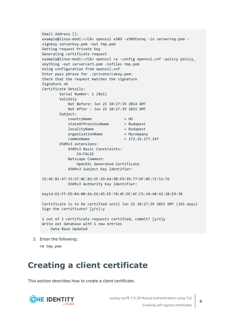```
Email Address []:
example@linux-modi:~/CA> openssl x509 -x509toreq -in serverreq.pem -
signkey serverkey.pem -out tmp.pem
Getting request Private Key
Generating certificate request
example@linux-modi:~/CA> openssl ca -config openssl.cnf -policy policy_
anything -out servercert.pem -infiles tmp.pem
Using configuration from openssl.cnf
Enter pass phrase for ./private/cakey.pem:
Check that the request matches the signature
Signature ok
Certificate Details:
       Serial Number: 1 (0x1)
       Validity
           Not Before: Jun 25 10:27:39 2014 GMT
           Not After : Jun 25 10:27:39 2015 GMT
       Subject:
           countrvName = HUstateOrProvinceName = Budapest
           localityName = Budapest
           organizationName = Mycompany
           commonName = 172.16.177.147
       X509v3 extensions:
           X509v3 Basic Constraints:
               CA:FALSE
           Netscape Comment:
               OpenSSL Generated Certificate
           X509v3 Subject Key Identifier:
55:4E:B1:47:33:CF:0C:83:5F:29:64:9B:E9:99:77:DF:0E:72:52:76
           X509v3 Authority Key Identifier:
keyid:D1:FF:ED:B4:0B:66:E6:45:EE:70:4F:DC:6C:C5:34:48:42:38:E9:38
Certificate is to be certified until Jun 25 10:27:39 2015 GMT (365 days)
Sign the certificate? [y/n]:y
1 out of 1 certificate requests certified, commit? [y/n]y
Write out database with 1 new entries
   Data Base Updated
```
3. Enter the following:

rm tmp.pem

### <span id="page-7-0"></span>**Creating a client certificate**

This section describes how to create a client certificate.

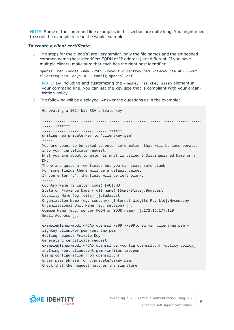NOTE: Some of the command line examples in this section are quite long. You might need to scroll the example to read the whole example.

### *To create a client certificate*

1. The steps for the client(s) are very similar, only the file names and the embedded common name (host identifier: FQDN or IP address) are different. If you have multiple clients, make sure that each has the right host identifier.

openssl req -nodes -new -x509 -keyout clientkey.pem -newkey rsa:4096 -out clientreq.pem -days 365 -config openssl.cnf

NOTE: By including and customizing the -newkey rsa:<key size> element in your command line, you can set the key size that is compliant with your organization policy.

2. The following will be displayed. Answer the questions as in the example:

```
Generating a 1024 bit RSA private key
..........................................................................
.......++++++
...............................++++++
writing new private key to 'clientkey.pem'
-----
You are about to be asked to enter information that will be incorporated
into your certificate request.
What you are about to enter is what is called a Distinguished Name or a
DN.
There are quite a few fields but you can leave some blank
For some fields there will be a default value,
If you enter '.', the field will be left blank.
-----
Country Name (2 letter code) [AU]:HU
State or Province Name (full name) [Some-State]:Budapest
Locality Name (eg, city) []:Budapest
Organization Name (eg, company) [Internet Widgits Pty Ltd]:Mycompany
Organizational Unit Name (eg, section) []:.
Common Name (e.g. server FQDN or YOUR name) []:172.16.177.129
Email Address []:
example@linux-modi:~/CA> openssl x509 -x509toreq -in clientreq.pem -
signkey clientkey.pem -out tmp.pem
Getting request Private Key
Generating certificate request
example@linux-modi:~/CA> openssl ca -config openssl.cnf -policy policy_
anything -out clientcert.pem -infiles tmp.pem
Using configuration from openssl.cnf
Enter pass phrase for ./private/cakey.pem:
Check that the request matches the signature
```
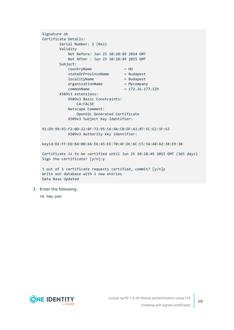```
Signature ok
Certificate Details:
       Serial Number: 2 (0x2)
       Validity
           Not Before: Jun 25 10:28:49 2014 GMT
           Not After : Jun 25 10:28:49 2015 GMT
       Subject:
           countryName = HU
           stateOrProvinceName = Budapest
           localityName = Budapest
           organizationName = Mycompany
           commonName = 172.16.177.129X509v3 extensions:
           X509v3 Basic Constraints:
               CA:FALSE
           Netscape Comment:
               OpenSSL Generated Certificate
           X509v3 Subject Key Identifier:
91:D9:99:95:F2:0D:22:BF:72:95:56:9A:C0:DF:A3:07:5C:E2:3F:63
           X509v3 Authority Key Identifier:
keyid:D1:FF:ED:B4:0B:66:E6:45:EE:70:4F:DC:6C:C5:34:48:42:38:E9:38
Certificate is to be certified until Jun 25 10:28:49 2015 GMT (365 days)
Sign the certificate? [y/n]:y
1 out of 1 certificate requests certified, commit? [y/n]y
Write out database with 1 new entries
Data Base Updated
```
3. Enter the following:

rm tmp.pem

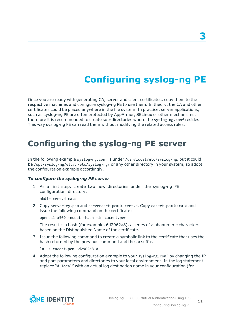## **Configuring syslog-ng PE**

<span id="page-10-0"></span>Once you are ready with generating CA, server and client certificates, copy them to the respective machines and configure syslog-ng PE to use them. In theory, the CA and other certificates could be placed anywhere in the file system. In practice, server applications, such as syslog-ng PE are often protected by AppArmor, SELinux or other mechanisms, therefore it is recommended to create sub-directories where the syslog-ng.conf resides. This way syslog-ng PE can read them without modifying the related access rules.

### <span id="page-10-1"></span>**Configuring the syslog-ng PE server**

In the following example syslog-ng.conf is under /usr/local/etc/syslog-ng, but it could be /opt/syslog-ng/etc/, /etc/syslog-ng/ or any other directory in your system, so adopt the configuration example accordingly.

### *To configure the syslog-ng PE server*

1. As a first step, create two new directories under the syslog-ng PE configuration directory:

mkdir cert.d ca.d

2. Copy serverkey.pem and servercert.pem to cert.d. Copy cacert.pem to ca.d and issue the following command on the certificate:

openssl x509 -noout -hash -in cacert.pem

The result is a hash (for example, 6d2962a8), a series of alphanumeric characters based on the Distinguished Name of the certificate.

3. Issue the following command to create a symbolic link to the certificate that uses the hash returned by the previous command and the .0 suffix.

ln -s cacert.pem 6d2962a8.0

4. Adopt the following configuration example to your syslog-ng.conf by changing the IP and port parameters and directories to your local environment. In the log statement replace "d\_local" with an actual log destination name in your configuration (for



**11**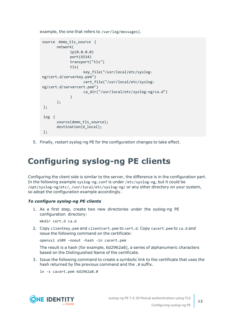example, the one that refers to /var/log/messages).

```
source demo tls source {
      network(
             ip(0.0.0.0)
             port(6514)
             transport("tls")
             tls(
                   key_file("/usr/local/etc/syslog-
ng/cert.d/serverkey.pem")
                   cert file("/usr/local/etc/syslog-
ng/cert.d/servercert.pem")
                   ca_dir("/usr/local/etc/syslog-ng/ca.d")
             )
      );
};
log {
      source(demo_tls_source);
      destination(d local);
};
```
<span id="page-11-0"></span>5. Finally, restart syslog-ng PE for the configuration changes to take effect.

### **Configuring syslog-ng PE clients**

Configuring the client side is similar to the server, the difference is in the configuration part. In the following example syslog-ng.conf is under /etc/syslog-ng, but it could be /opt/syslog-ng/etc/, /usr/local/etc/syslog-ng/ or any other directory on your system, so adopt the configuration example accordingly.

### *To configure syslog-ng PE clients*

1. As a first step, create two new directories under the syslog-ng PE configuration directory:

mkdir cert.d ca.d

2. Copy clientkey.pem and clientcert.pem to cert.d. Copy cacert.pem to ca.d and issue the following command on the certificate:

openssl x509 -noout -hash -in cacert.pem

The result is a hash (for example, 6d2962a8), a series of alphanumeric characters based on the Distinguished Name of the certificate.

3. Issue the following command to create a symbolic link to the certificate that uses the hash returned by the previous command and the .0 suffix.

ln -s cacert.pem 6d2962a8.0

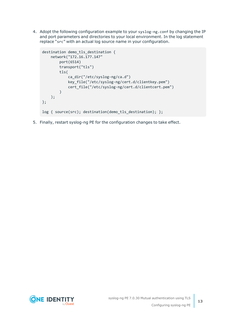4. Adopt the following configuration example to your syslog-ng.conf by changing the IP and port parameters and directories to your local environment. In the log statement replace "src" with an actual log source name in your configuration.

```
destination demo_tls_destination {
    network("172.16.177.147"
        port(6514)
        transport("tls")
        tls(
            ca_dir("/etc/syslog-ng/ca.d")
            key_file("/etc/syslog-ng/cert.d/clientkey.pem")
            cert_file("/etc/syslog-ng/cert.d/clientcert.pem")
        )
    );
};
log { source(src); destination(demo_tls_destination); };
```
5. Finally, restart syslog-ng PE for the configuration changes to take effect.

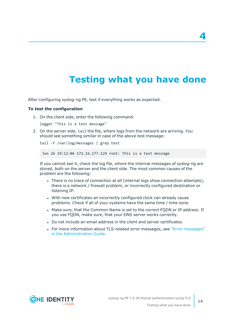## **Testing what you have done**

<span id="page-13-0"></span>After configuring syslog-ng PE, test if everything works as expected.

### *To test the configuration*

1. On the client side, enter the following command:

logger "This is a test message"

2. On the server side, tail the file, where logs from the network are arriving. You should see something similar in case of the above test message:

```
tail -f /var/log/messages | grep test
```
Jun 26 19:12:06 172.16.177.129 root: This is a test message

If you cannot see it, check the log file, where the internal messages of syslog-ng are stored, both on the server and the client side. The most common causes of the problem are the following:

- There is no trace of connection at all (internal logs show connection attempts), there is a network / firewall problem, or incorrectly configured destination or listening IP.
- With new certificates an incorrectly configured clock can already cause problems. Check if all of your systems have the same time / time zone.
- Make sure, that the Common Name is set to the correct FODN or IP address. If you use FQDN, make sure, that your DNS server works correctly.
- Do not include an email address in the client and server certificates.
- For more information about TLS-related error messages, see "Error [messages"](https://support.oneidentity.com/technical-documents/syslog-ng-premium-edition/7.0.30/administration-guide/troubleshooting-syslog-ng/error-messages/) in the [Administration](https://support.oneidentity.com/technical-documents/syslog-ng-premium-edition/7.0.30/administration-guide/troubleshooting-syslog-ng/error-messages/) Guide.

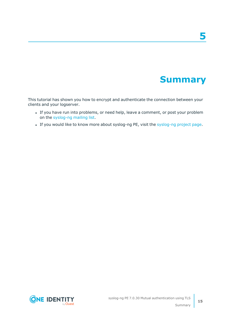## **Summary**

<span id="page-14-0"></span>This tutorial has shown you how to encrypt and authenticate the connection between your clients and your logserver.

- If you have run into problems, or need help, leave a comment, or post your problem on the [syslog-ng](https://lists.balabit.hu/mailman/listinfo/syslog-ng) mailing list.
- If you would like to know more about [syslog-ng](http://syslog-ng.com/) PE, visit the syslog-ng project page.

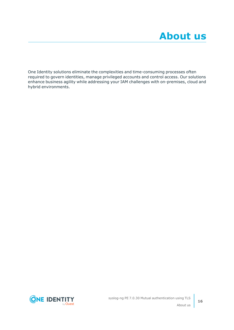<span id="page-15-0"></span>One Identity solutions eliminate the complexities and time-consuming processes often required to govern identities, manage privileged accounts and control access. Our solutions enhance business agility while addressing your IAM challenges with on-premises, cloud and hybrid environments.

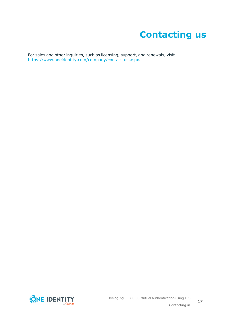## **Contacting us**

<span id="page-16-0"></span>For sales and other inquiries, such as licensing, support, and renewals, visit [https://www.oneidentity.com/company/contact-us.aspx.](https://www.oneidentity.com/company/contact-us.aspx)

**ONE IDENTITY** by **Quest**